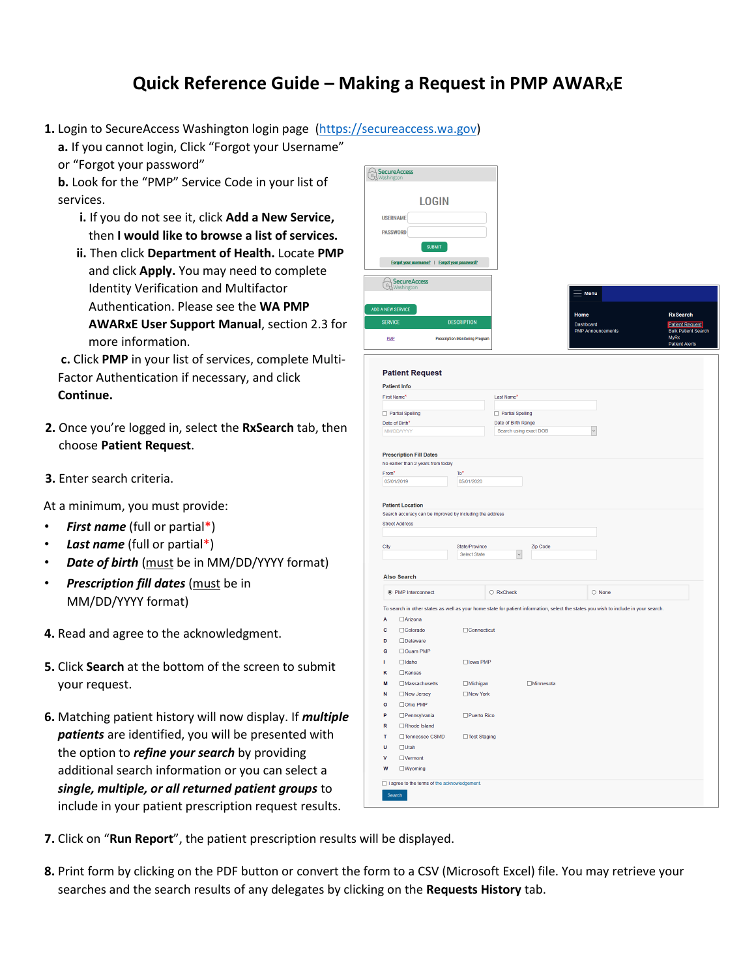## **Quick Reference Guide – Making a Request in PMP AWARXE**

**1.** Login to SecureAccess Washington login page [\(https://secureaccess.wa.gov\)](https://secureaccess.wa.gov/)

**a.** If you cannot login, Click "Forgot your Username"

or "Forgot your password"

**b.** Look for the "PMP" Service Code in your list of services.

- **i.** If you do not see it, click **Add a New Service,** then **I would like to browse a list of services.**
- **ii.** Then click **Department of Health.** Locate **PMP** and click **Apply.** You may need to complete Identity Verification and Multifactor Authentication. Please see the **WA PMP AWARxE User Support Manual**, section 2.3 for more information.
- **c.** Click **PMP** in your list of services, complete Multi-Factor Authentication if necessary, and click **Continue.**
- **2.** Once you're logged in, select the **RxSearch** tab, then choose **Patient Request**.
- **3.** Enter search criteria.

At a minimum, you must provide:

- *First name* (full or partial\*)
- *Last name* (full or partial\*)
- **Date of birth** (must be in MM/DD/YYYY format)
- *Prescription fill dates* (must be in MM/DD/YYYY format)
- **4.** Read and agree to the acknowledgment.
- **5.** Click **Search** at the bottom of the screen to submit your request.
- **6.** Matching patient history will now display. If *multiple patients* are identified, you will be presented with the option to *refine your search* by providing additional search information or you can select a *single, multiple, or all returned patient groups* to include in your patient prescription request results.

|                | <b>LOGIN</b>                                                                                                                        |                                        |                        |                   |                          |                                                                    |
|----------------|-------------------------------------------------------------------------------------------------------------------------------------|----------------------------------------|------------------------|-------------------|--------------------------|--------------------------------------------------------------------|
|                | <b>USERNAME</b>                                                                                                                     |                                        |                        |                   |                          |                                                                    |
|                | <b>PASSWORD</b>                                                                                                                     |                                        |                        |                   |                          |                                                                    |
|                |                                                                                                                                     |                                        |                        |                   |                          |                                                                    |
|                | <b>SUBMIT</b>                                                                                                                       |                                        |                        |                   |                          |                                                                    |
|                | Forgot your username?   Forgot your password?                                                                                       |                                        |                        |                   |                          |                                                                    |
| $B_{\gamma}$   | <b>SecureAccess</b><br>Washington                                                                                                   |                                        |                        |                   |                          |                                                                    |
|                |                                                                                                                                     |                                        |                        |                   | Menu                     |                                                                    |
|                | <b>ADD A NEW SERVICE</b>                                                                                                            |                                        |                        | Home              |                          | <b>RxSearch</b>                                                    |
| <b>SERVICE</b> |                                                                                                                                     | <b>DESCRIPTION</b>                     |                        | Dashboard         |                          | <b>Patient Request</b>                                             |
| <b>PMP</b>     |                                                                                                                                     | <b>Prescription Monitoring Program</b> |                        |                   | <b>PMP Announcements</b> | <b>Bulk Patient Search</b><br><b>MyRx</b><br><b>Patient Alerts</b> |
|                | <b>Patient Request</b>                                                                                                              |                                        |                        |                   |                          |                                                                    |
|                | <b>Patient Info</b>                                                                                                                 |                                        |                        |                   |                          |                                                                    |
|                | First Name*                                                                                                                         |                                        | Last Name*             |                   |                          |                                                                    |
|                | Partial Spelling                                                                                                                    |                                        | Partial Spelling       |                   |                          |                                                                    |
|                | Date of Birth*                                                                                                                      |                                        | Date of Birth Range    |                   |                          |                                                                    |
|                | MM/DD/YYYY                                                                                                                          |                                        | Search using exact DOB |                   | $\backsim$               |                                                                    |
|                |                                                                                                                                     |                                        |                        |                   |                          |                                                                    |
|                | <b>Prescription Fill Dates</b>                                                                                                      |                                        |                        |                   |                          |                                                                    |
|                | No earlier than 2 years from today                                                                                                  | To*                                    |                        |                   |                          |                                                                    |
|                |                                                                                                                                     |                                        |                        |                   |                          |                                                                    |
| From*          | 05/01/2019<br><b>Patient Location</b>                                                                                               | 05/01/2020                             |                        |                   |                          |                                                                    |
|                | Search accuracy can be improved by including the address<br><b>Street Address</b>                                                   |                                        |                        |                   |                          |                                                                    |
|                |                                                                                                                                     |                                        |                        |                   |                          |                                                                    |
| City           |                                                                                                                                     | State/Province                         |                        | Zip Code          |                          |                                                                    |
|                |                                                                                                                                     | Select State                           | $\backsim$             |                   |                          |                                                                    |
|                | <b>Also Search</b>                                                                                                                  |                                        |                        |                   |                          |                                                                    |
|                | ◉ PMP Interconnect                                                                                                                  |                                        | $\bigcirc$ RxCheck     |                   | $\bigcirc$ None          |                                                                    |
|                | To search in other states as well as your home state for patient information, select the states you wish to include in your search. |                                        |                        |                   |                          |                                                                    |
| A              | <b>DArizona</b>                                                                                                                     |                                        |                        |                   |                          |                                                                    |
| c              | □Colorado                                                                                                                           | Connecticut                            |                        |                   |                          |                                                                    |
| D              | □Delaware                                                                                                                           |                                        |                        |                   |                          |                                                                    |
| G              | □Guam PMP                                                                                                                           |                                        |                        |                   |                          |                                                                    |
| т              | $\Box$ Idaho                                                                                                                        | □ lowa PMP                             |                        |                   |                          |                                                                    |
| κ              | $\Box$ Kansas                                                                                                                       |                                        |                        |                   |                          |                                                                    |
| M              | $\Box$ Massachusetts                                                                                                                | Michigan                               |                        | <b>IMinnesota</b> |                          |                                                                    |
| N              | □New Jersey                                                                                                                         | □ New York                             |                        |                   |                          |                                                                    |
| o              | □Ohio PMP                                                                                                                           |                                        |                        |                   |                          |                                                                    |
| Þ              | $\Box$ Pennsylvania                                                                                                                 | $\Box$ Puerto Rico                     |                        |                   |                          |                                                                    |
| $\mathbf R$    | $\Box$ Rhode Island                                                                                                                 |                                        |                        |                   |                          |                                                                    |
| T              | □Tennessee CSMD                                                                                                                     | □ Test Staging                         |                        |                   |                          |                                                                    |
| U              | $\Box$ Utah                                                                                                                         |                                        |                        |                   |                          |                                                                    |
| ٧              | $\Box$ Vermont                                                                                                                      |                                        |                        |                   |                          |                                                                    |
| W              | $\square$ Wyoming                                                                                                                   |                                        |                        |                   |                          |                                                                    |

- **7.** Click on "**Run Report**", the patient prescription results will be displayed.
- **8.** Print form by clicking on the PDF button or convert the form to a CSV (Microsoft Excel) file. You may retrieve your searches and the search results of any delegates by clicking on the **Requests History** tab.